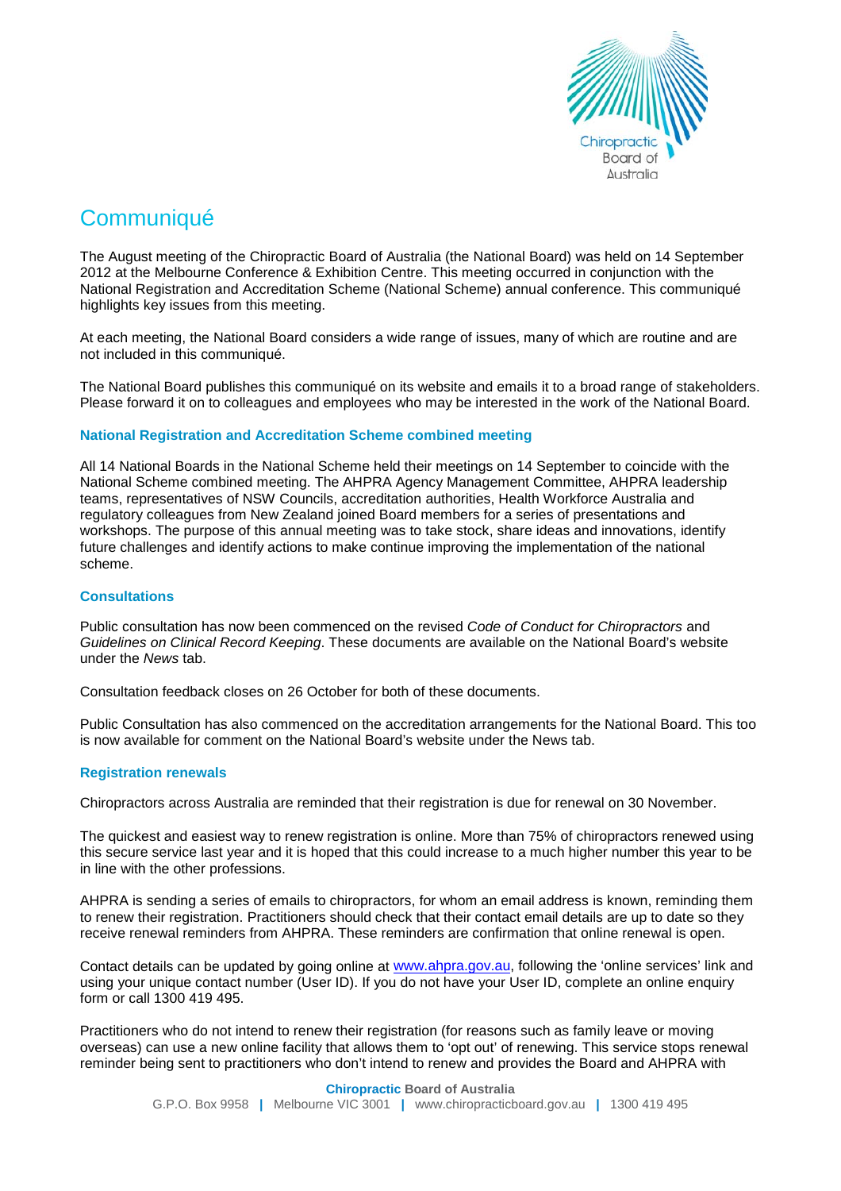

# **Communiqué**

The August meeting of the Chiropractic Board of Australia (the National Board) was held on 14 September 2012 at the Melbourne Conference & Exhibition Centre. This meeting occurred in conjunction with the National Registration and Accreditation Scheme (National Scheme) annual conference. This communiqué highlights key issues from this meeting.

At each meeting, the National Board considers a wide range of issues, many of which are routine and are not included in this communiqué.

The National Board publishes this communiqué on its website and emails it to a broad range of stakeholders. Please forward it on to colleagues and employees who may be interested in the work of the National Board.

## **National Registration and Accreditation Scheme combined meeting**

All 14 National Boards in the National Scheme held their meetings on 14 September to coincide with the National Scheme combined meeting. The AHPRA Agency Management Committee, AHPRA leadership teams, representatives of NSW Councils, accreditation authorities, [Health Workforce Australia](http://www.hwa.gov.au/) and regulatory colleagues from New Zealand joined Board members for a series of presentations and workshops. The purpose of this annual meeting was to take stock, share ideas and innovations, identify future challenges and identify actions to make continue improving the implementation of the national scheme.

### **Consultations**

Public consultation has now been commenced on the revised *Code of Conduct for Chiropractors* and *Guidelines on Clinical Record Keeping*. These documents are available on the National Board's website under the *News* tab.

Consultation feedback closes on 26 October for both of these documents.

Public Consultation has also commenced on the accreditation arrangements for the National Board. This too is now available for comment on the National Board's website under the News tab.

## **Registration renewals**

Chiropractors across Australia are reminded that their registration is due for renewal on 30 November.

The quickest and easiest way to renew registration is online. More than 75% of chiropractors renewed using this secure service last year and it is hoped that this could increase to a much higher number this year to be in line with the other professions.

AHPRA is sending a series of emails to chiropractors, for whom an email address is known, reminding them to renew their registration. Practitioners should check that their contact email details are up to date so they receive renewal reminders from AHPRA. These reminders are confirmation that online renewal is open.

Contact details can be updated by going online at [www.ahpra.gov.au,](http://www.ahpra.gov.au/) following the 'online services' link and using your unique contact number (User ID). If you do not have your User ID, complete an online enquiry form or call 1300 419 495.

Practitioners who do not intend to renew their registration (for reasons such as family leave or moving overseas) can use a new online facility that allows them to 'opt out' of renewing. This service stops renewal reminder being sent to practitioners who don't intend to renew and provides the Board and AHPRA with